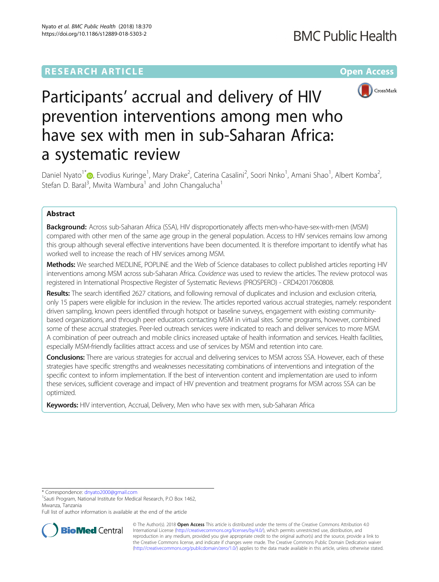# **RESEARCH ARTICLE Example 2014 12:30 The Community Community Community Community Community Community Community**



# Participants' accrual and delivery of HIV prevention interventions among men who have sex with men in sub-Saharan Africa: a systematic review

Daniel Nyato<sup>1\*</sup> (@, Evodius Kuringe<sup>1</sup>, Mary Drake<sup>2</sup>, Caterina Casalini<sup>2</sup>, Soori Nnko<sup>1</sup>, Amani Shao<sup>1</sup>, Albert Komba<sup>2</sup> .<br>, Stefan D. Baral<sup>3</sup>, Mwita Wambura<sup>1</sup> and John Changalucha<sup>1</sup>

# Abstract

Background: Across sub-Saharan Africa (SSA), HIV disproportionately affects men-who-have-sex-with-men (MSM) compared with other men of the same age group in the general population. Access to HIV services remains low among this group although several effective interventions have been documented. It is therefore important to identify what has worked well to increase the reach of HIV services among MSM.

Methods: We searched MEDLINE, POPLINE and the Web of Science databases to collect published articles reporting HIV interventions among MSM across sub-Saharan Africa. Covidence was used to review the articles. The review protocol was registered in International Prospective Register of Systematic Reviews (PROSPERO) - CRD42017060808.

Results: The search identified 2627 citations, and following removal of duplicates and inclusion and exclusion criteria, only 15 papers were eligible for inclusion in the review. The articles reported various accrual strategies, namely: respondent driven sampling, known peers identified through hotspot or baseline surveys, engagement with existing communitybased organizations, and through peer educators contacting MSM in virtual sites. Some programs, however, combined some of these accrual strategies. Peer-led outreach services were indicated to reach and deliver services to more MSM. A combination of peer outreach and mobile clinics increased uptake of health information and services. Health facilities, especially MSM-friendly facilities attract access and use of services by MSM and retention into care.

Conclusions: There are various strategies for accrual and delivering services to MSM across SSA. However, each of these strategies have specific strengths and weaknesses necessitating combinations of interventions and integration of the specific context to inform implementation. If the best of intervention content and implementation are used to inform these services, sufficient coverage and impact of HIV prevention and treatment programs for MSM across SSA can be optimized.

Keywords: HIV intervention, Accrual, Delivery, Men who have sex with men, sub-Saharan Africa

\* Correspondence: [dnyato2000@gmail.com](mailto:dnyato2000@gmail.com) <sup>1</sup>

<sup>1</sup> Sauti Program, National Institute for Medical Research, P.O Box 1462, Mwanza, Tanzania

Full list of author information is available at the end of the article



© The Author(s). 2018 Open Access This article is distributed under the terms of the Creative Commons Attribution 4.0 International License [\(http://creativecommons.org/licenses/by/4.0/](http://creativecommons.org/licenses/by/4.0/)), which permits unrestricted use, distribution, and reproduction in any medium, provided you give appropriate credit to the original author(s) and the source, provide a link to the Creative Commons license, and indicate if changes were made. The Creative Commons Public Domain Dedication waiver [\(http://creativecommons.org/publicdomain/zero/1.0/](http://creativecommons.org/publicdomain/zero/1.0/)) applies to the data made available in this article, unless otherwise stated.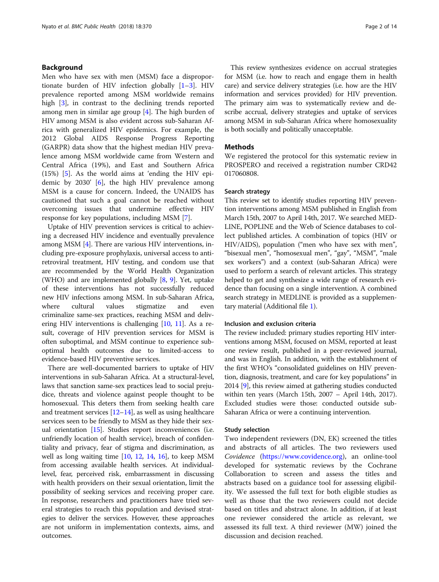# Background

Men who have sex with men (MSM) face a disproportionate burden of HIV infection globally [[1](#page-12-0)–[3\]](#page-12-0). HIV prevalence reported among MSM worldwide remains high [\[3\]](#page-12-0), in contrast to the declining trends reported among men in similar age group [\[4\]](#page-12-0). The high burden of HIV among MSM is also evident across sub-Saharan Africa with generalized HIV epidemics. For example, the 2012 Global AIDS Response Progress Reporting (GARPR) data show that the highest median HIV prevalence among MSM worldwide came from Western and Central Africa (19%), and East and Southern Africa (15%) [[5\]](#page-12-0). As the world aims at 'ending the HIV epidemic by 2030' [[6](#page-12-0)], the high HIV prevalence among MSM is a cause for concern. Indeed, the UNAIDS has cautioned that such a goal cannot be reached without overcoming issues that undermine effective HIV response for key populations, including MSM [\[7](#page-12-0)].

Uptake of HIV prevention services is critical to achieving a decreased HIV incidence and eventually prevalence among MSM [[4](#page-12-0)]. There are various HIV interventions, including pre-exposure prophylaxis, universal access to antiretroviral treatment, HIV testing, and condom use that are recommended by the World Health Organization (WHO) and are implemented globally [[8,](#page-12-0) [9](#page-12-0)]. Yet, uptake of these interventions has not successfully reduced new HIV infections among MSM. In sub-Saharan Africa, where cultural values stigmatize and even criminalize same-sex practices, reaching MSM and delivering HIV interventions is challenging [[10](#page-12-0), [11](#page-12-0)]. As a result, coverage of HIV prevention services for MSM is often suboptimal, and MSM continue to experience suboptimal health outcomes due to limited-access to evidence-based HIV preventive services.

There are well-documented barriers to uptake of HIV interventions in sub-Saharan Africa. At a structural-level, laws that sanction same-sex practices lead to social prejudice, threats and violence against people thought to be homosexual. This deters them from seeking health care and treatment services [[12](#page-12-0)–[14\]](#page-12-0), as well as using healthcare services seen to be friendly to MSM as they hide their sexual orientation [\[15\]](#page-12-0). Studies report inconveniences (i.e. unfriendly location of health service), breach of confidentiality and privacy, fear of stigma and discrimination, as well as long waiting time [[10](#page-12-0), [12,](#page-12-0) [14](#page-12-0), [16](#page-12-0)], to keep MSM from accessing available health services. At individuallevel, fear, perceived risk, embarrassment in discussing with health providers on their sexual orientation, limit the possibility of seeking services and receiving proper care. In response, researchers and practitioners have tried several strategies to reach this population and devised strategies to deliver the services. However, these approaches are not uniform in implementation contexts, aims, and outcomes.

This review synthesizes evidence on accrual strategies for MSM (i.e. how to reach and engage them in health care) and service delivery strategies (i.e. how are the HIV information and services provided) for HIV prevention. The primary aim was to systematically review and describe accrual, delivery strategies and uptake of services among MSM in sub-Saharan Africa where homosexuality is both socially and politically unacceptable.

# **Methods**

We registered the protocol for this systematic review in PROSPERO and received a registration number CRD42 017060808.

# Search strategy

This review set to identify studies reporting HIV prevention interventions among MSM published in English from March 15th, 2007 to April 14th, 2017. We searched MED-LINE, POPLINE and the Web of Science databases to collect published articles. A combination of topics (HIV or HIV/AIDS), population ("men who have sex with men", "bisexual men", "homosexual men", "gay", "MSM", "male sex workers") and a context (sub-Saharan Africa) were used to perform a search of relevant articles. This strategy helped to get and synthesize a wide range of research evidence than focusing on a single intervention. A combined search strategy in MEDLINE is provided as a supplementary material (Additional file [1](#page-11-0)).

#### Inclusion and exclusion criteria

The review included: primary studies reporting HIV interventions among MSM, focused on MSM, reported at least one review result, published in a peer-reviewed journal, and was in English. In addition, with the establishment of the first WHO's "consolidated guidelines on HIV prevention, diagnosis, treatment, and care for key populations" in 2014 [[9\]](#page-12-0), this review aimed at gathering studies conducted within ten years (March 15th, 2007 – April 14th, 2017). Excluded studies were those: conducted outside sub-Saharan Africa or were a continuing intervention.

#### Study selection

Two independent reviewers (DN, EK) screened the titles and abstracts of all articles. The two reviewers used Covidence ([https://www.covidence.org\)](https://www.covidence.org), an online-tool developed for systematic reviews by the Cochrane Collaboration to screen and assess the titles and abstracts based on a guidance tool for assessing eligibility. We assessed the full text for both eligible studies as well as those that the two reviewers could not decide based on titles and abstract alone. In addition, if at least one reviewer considered the article as relevant, we assessed its full text. A third reviewer (MW) joined the discussion and decision reached.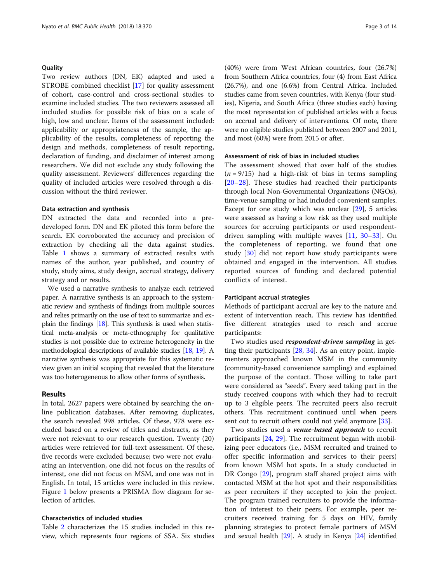#### **Quality**

Two review authors (DN, EK) adapted and used a STROBE combined checklist [[17\]](#page-12-0) for quality assessment of cohort, case-control and cross-sectional studies to examine included studies. The two reviewers assessed all included studies for possible risk of bias on a scale of high, low and unclear. Items of the assessment included: applicability or appropriateness of the sample, the applicability of the results, completeness of reporting the design and methods, completeness of result reporting, declaration of funding, and disclaimer of interest among researchers. We did not exclude any study following the quality assessment. Reviewers' differences regarding the quality of included articles were resolved through a discussion without the third reviewer.

#### Data extraction and synthesis

DN extracted the data and recorded into a predeveloped form. DN and EK piloted this form before the search. EK corroborated the accuracy and precision of extraction by checking all the data against studies. Table [1](#page-3-0) shows a summary of extracted results with names of the author, year published, and country of study, study aims, study design, accrual strategy, delivery strategy and or results.

We used a narrative synthesis to analyze each retrieved paper. A narrative synthesis is an approach to the systematic review and synthesis of findings from multiple sources and relies primarily on the use of text to summarize and explain the findings  $[18]$ . This synthesis is used when statistical meta-analysis or meta-ethnography for qualitative studies is not possible due to extreme heterogeneity in the methodological descriptions of available studies [\[18,](#page-12-0) [19](#page-12-0)]. A narrative synthesis was appropriate for this systematic review given an initial scoping that revealed that the literature was too heterogeneous to allow other forms of synthesis.

# Results

In total, 2627 papers were obtained by searching the online publication databases. After removing duplicates, the search revealed 998 articles. Of these, 978 were excluded based on a review of titles and abstracts, as they were not relevant to our research question. Twenty (20) articles were retrieved for full-text assessment. Of these, five records were excluded because; two were not evaluating an intervention, one did not focus on the results of interest, one did not focus on MSM, and one was not in English. In total, 15 articles were included in this review. Figure [1](#page-6-0) below presents a PRISMA flow diagram for selection of articles.

# Characteristics of included studies

Table [2](#page-6-0) characterizes the 15 studies included in this review, which represents four regions of SSA. Six studies

(40%) were from West African countries, four (26.7%) from Southern Africa countries, four (4) from East Africa (26.7%), and one (6.6%) from Central Africa. Included studies came from seven countries, with Kenya (four studies), Nigeria, and South Africa (three studies each) having the most representation of published articles with a focus on accrual and delivery of interventions. Of note, there were no eligible studies published between 2007 and 2011, and most (60%) were from 2015 or after.

# Assessment of risk of bias in included studies

The assessment showed that over half of the studies  $(n = 9/15)$  had a high-risk of bias in terms sampling [[20](#page-12-0)–[28\]](#page-12-0). These studies had reached their participants through local Non-Governmental Organizations (NGOs), time-venue sampling or had included convenient samples. Except for one study which was unclear [[29](#page-12-0)], 5 articles were assessed as having a low risk as they used multiple sources for accruing participants or used respondentdriven sampling with multiple waves [\[11](#page-12-0), [30](#page-12-0)–[33](#page-12-0)]. On the completeness of reporting, we found that one study [\[30](#page-12-0)] did not report how study participants were obtained and engaged in the intervention. All studies reported sources of funding and declared potential conflicts of interest.

#### Participant accrual strategies

Methods of participant accrual are key to the nature and extent of intervention reach. This review has identified five different strategies used to reach and accrue participants:

Two studies used *respondent-driven sampling* in getting their participants [\[28](#page-12-0), [34](#page-12-0)]. As an entry point, implementers approached known MSM in the community (community-based convenience sampling) and explained the purpose of the contact. Those willing to take part were considered as "seeds". Every seed taking part in the study received coupons with which they had to recruit up to 3 eligible peers. The recruited peers also recruit others. This recruitment continued until when peers sent out to recruit others could not yield anymore [[33\]](#page-12-0).

Two studies used a venue-based approach to recruit participants [\[24,](#page-12-0) [29](#page-12-0)]. The recruitment began with mobilizing peer educators (i.e., MSM recruited and trained to offer specific information and services to their peers) from known MSM hot spots. In a study conducted in DR Congo [[29\]](#page-12-0), program staff shared project aims with contacted MSM at the hot spot and their responsibilities as peer recruiters if they accepted to join the project. The program trained recruiters to provide the information of interest to their peers. For example, peer recruiters received training for 5 days on HIV, family planning strategies to protect female partners of MSM and sexual health [\[29](#page-12-0)]. A study in Kenya [[24](#page-12-0)] identified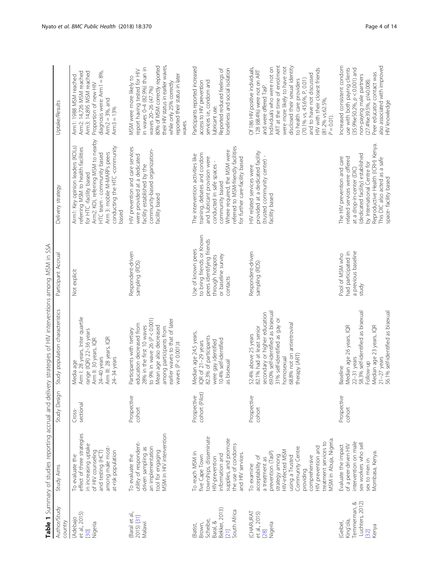<span id="page-3-0"></span>

|                                                                                     |                                                                                                                                                                                                                                                           |                               | Table 1 Summary of studies reporting accrual and delivery strategies of HIV interventions among MSM in SSA                                                                                                                           |                                                                                                                                    |                                                                                                                                                                                                                                                            |                                                                                                                                                                                                                                                                                                                                                                                          |
|-------------------------------------------------------------------------------------|-----------------------------------------------------------------------------------------------------------------------------------------------------------------------------------------------------------------------------------------------------------|-------------------------------|--------------------------------------------------------------------------------------------------------------------------------------------------------------------------------------------------------------------------------------|------------------------------------------------------------------------------------------------------------------------------------|------------------------------------------------------------------------------------------------------------------------------------------------------------------------------------------------------------------------------------------------------------|------------------------------------------------------------------------------------------------------------------------------------------------------------------------------------------------------------------------------------------------------------------------------------------------------------------------------------------------------------------------------------------|
| Author/Study<br>country                                                             | Study Aims                                                                                                                                                                                                                                                | Study Design                  | Study population characteristics                                                                                                                                                                                                     | Participant Accrual                                                                                                                | Delivery strategy                                                                                                                                                                                                                                          | Uptake/Results                                                                                                                                                                                                                                                                                                                                                                           |
| et al., 2015)<br>(Adebajo<br>Nigeria<br>30                                          | effect of three strategies<br>in increasing uptake<br>among male most-<br>of HIV counseling<br>at-risk population<br>and testing (HCT)<br>To evaluate the                                                                                                 | sectional<br>Cross-           | Media age<br>Arm I: 28 years, Inter quartile<br>range (IQR) 22-36 years<br>Arm III: 28 years, IQR<br>Arm II: 30 years, IQR<br>$24 - 40$ years<br>$24-34$ years                                                                       | Not explicit                                                                                                                       | Arm2: KOL referring MSM to nearby<br>conducting the HTC-community<br>Arm1: Key opinion leaders (KOLs)<br>referring MSM to health facilities<br>for HTC -facility based<br>Arm 3: mobile M-MARPs peers<br>HTC team - community based<br>based               | Arm3: 14,895 MSM reached<br>Arm2: 14,726 MSM reached<br>diagnosis were: Arm1 = 8%,<br>Arm1: 1988 MSM reached<br>Proportion of new HIV<br>Arm $2 = 3%$ , and<br>Arm $3 = 13%$                                                                                                                                                                                                             |
| (Baral et al.,<br>2015) [31]<br>Malawi                                              | MSM in HIV intervention<br>utility of respondent-<br>an implementation<br>driven sampling as<br>tool for engaging<br>To evaluate the                                                                                                                      | Prospective<br>cohort         | to 9% in wave 26 (P < 0.001)<br>earlier waves to that of later<br>education decreased from<br>Mean age also decreased<br>28% in the first 10 waves<br>among participants from<br>Participants with tertiary<br>waves $(P < 0.001)$ # | Respondent-driven<br>sampling (RDS)                                                                                                | HIV prevention and care services<br>community-based organization-<br>were provided at a dedicated<br>facility established by the<br>facility based                                                                                                         | their HIV status in earlier waves,<br>80% of MSM correctly reported<br>n waves 0-4 (82.9%) than in<br>report having tested for HIV<br>reported their status in later<br>MSM were more likely to<br>while only 25% correctly<br>waves 20-26 (47.7%)<br>waves.                                                                                                                             |
| Bekker, 2013)<br>South Africa<br>Scheibe,<br>Baral, &<br>Brown,<br>(Batist,<br>[21] | townships, disseminate<br>supplies, and promote<br>the use of condoms<br>To reach MSM in<br>and HIV services.<br>nformation and<br>five Cape Town<br>HIV-prevention                                                                                       | cohort (Pilot)<br>Prospective | Median age 24.5 years,<br>82.3% of participants<br>10.4% self-identified<br>were gay identified<br>IQR of 21-29 years<br>as bisexual                                                                                                 | to bring friends or Known<br>peers identifying friends<br>Use of known peers<br>or baseline survey<br>through hotspots<br>contacts | referred to MSM-friendly facilities<br>Where required, the MSM were<br>training, debates and condom<br>The intervention activities like<br>and lubricant provision were<br>or further care-facility based<br>conducted in safe spaces -<br>community based | Participants reported increased<br>loneliness and social isolation<br>Reported reduced feelings of<br>services i.e., condom and<br>access to HIV prevention<br>lubricant use.                                                                                                                                                                                                            |
| <b>ICHARURAT</b><br>et al., 2015)<br>Nigeria<br>[28]                                | MSM in Abuja, Nigeria.<br>treatment services to<br>HIV prevention and<br>Community Centre<br>HIV-infected MSM<br>prevention (TasP)<br>strategy among<br>using a Trusted<br>comprehensive<br>acceptability of<br>a treatment as<br>To examine<br>providing | Prospective<br>cohort         | 69.0% self-identified as bisexual<br>secondary or higher education<br>31% self-identified as gay or<br>68.8% not on antiretroviral<br>82.1% had at least senior<br>52.4% above 25 years<br>therapy (ART)<br>homosexual               | Respondent-driven<br>sampling (RDS)                                                                                                | provided at a dedicated facility<br>(trusted community center)<br>HIV related services were<br>facility based                                                                                                                                              | ART at the time of enrolment<br>disclosed their sexual identity<br>were more likely to have not<br>ndividuals who were not on<br>Of 186 HIV positive individuals,<br>HIV with their closest friends<br>128 (68.4%) were not on ART<br>and to have not discussed<br>(70.1% vs. 45.6%, P, 0.01)<br>to health care providers<br>and were offered TasP.<br>(81.2% vs.62.5%,<br>$P = 0.01$ ). |
| Luchters, 2012)<br>Temmerman, &<br>Kingʻola,<br>(Geibel,<br>Kenya<br>32             | intervention on male<br>sex workers who sell<br>of a peer-driven HIV<br>Evaluate the impact<br>Mombasa, Kenya.<br>sex to men in                                                                                                                           | Prospective<br>cohort         | 56.1% self-identified as bisexual<br>58.3% self-identified as bisexual<br>Median age 26 years, IQR<br>Median age 23 years, IQR<br>$22-31$ years<br>$21 - 27$ years<br>Follow-up<br>Baseline                                          | a previous baseline<br>had participated in<br>Pool of MSM who<br>study                                                             | Reproductive Health (ICRH) Kenya.<br>(dedicated facility) established<br>The HIV prevention and care<br>related services were offered<br>This DIC also acted as a safe<br>by International Centre for<br>at a drop-in-center (DIC)<br>space-facility based | Increased consistent condom<br>also associated with improved<br>use with both paying clients<br>$(35.9%e50.2%p < 0.001)$ and<br>Peer educator contact was<br>non-paying male partners<br>(27.4%e39.5%, p¼0.008).<br>HIV knowledge                                                                                                                                                        |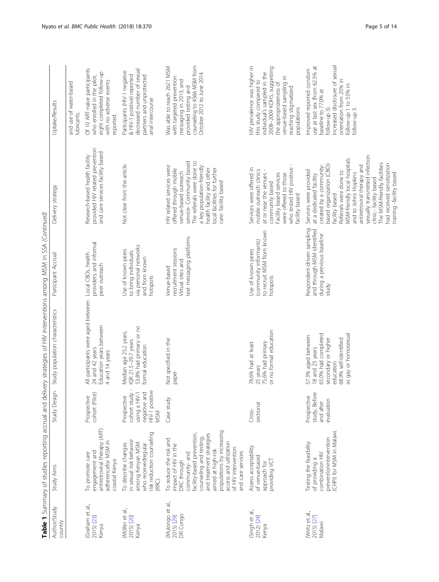|                                            |                                                                                                                                                                                                                                                                                               |                                                                                              | Table 1 Summary of studies reporting accrual and delivery strategies of HIV interventions among MSM in SSA (Continued)                            |                                                                                                   |                                                                                                                                                                                                                                                                                                                                                                                                   |                                                                                                                                                                                                                 |
|--------------------------------------------|-----------------------------------------------------------------------------------------------------------------------------------------------------------------------------------------------------------------------------------------------------------------------------------------------|----------------------------------------------------------------------------------------------|---------------------------------------------------------------------------------------------------------------------------------------------------|---------------------------------------------------------------------------------------------------|---------------------------------------------------------------------------------------------------------------------------------------------------------------------------------------------------------------------------------------------------------------------------------------------------------------------------------------------------------------------------------------------------|-----------------------------------------------------------------------------------------------------------------------------------------------------------------------------------------------------------------|
| Author/Study<br>country                    | Study Aims                                                                                                                                                                                                                                                                                    | Study Design                                                                                 | Study population characteristics                                                                                                                  | Participant Accrual                                                                               | Delivery strategy                                                                                                                                                                                                                                                                                                                                                                                 | Uptake/Results                                                                                                                                                                                                  |
|                                            |                                                                                                                                                                                                                                                                                               |                                                                                              |                                                                                                                                                   |                                                                                                   |                                                                                                                                                                                                                                                                                                                                                                                                   | and use of water-based<br>lubricants.                                                                                                                                                                           |
| (Graham et al.,<br>2015) [23]<br>Kenya     | antiretroviral therapy (ART)<br>adherencefor MSM in<br>engagement and<br>To promote care<br>coastal Kenya                                                                                                                                                                                     | cohort (Pilot)<br>Prospective                                                                | All participants were aged between<br>Education years between<br>24 and 42 years<br>4 and 14 years                                                | providers, and informal<br>Local CBOs, health<br>peer outreach                                    | provided HIV related prevention<br>and care services facility based<br>Research-based health facility                                                                                                                                                                                                                                                                                             | Of 10 ART-naïve participants<br>eight completed follow-up<br>who enrolled in the pilot,<br>with no adverse events<br>reported.                                                                                  |
| (Möller et al.,<br>2015) [20]<br>Kenya     | risk reduction counseling<br>in sexual risk behavior<br>among Kenyan MSM<br>To describe changes<br>who receivedregular<br>(RRC).                                                                                                                                                              | HIV-1 positive<br>cohort study<br>using a HIV-1<br>negative and<br>Prospective<br><b>MSM</b> | 53.8% had primary or no<br>Median age 25.2 years,<br>IQR 21.5-29.7 years<br>formal education                                                      | via personal networks<br>Use of known peers<br>to bring individuals<br>and from known<br>hotspots | Not clear from the article.                                                                                                                                                                                                                                                                                                                                                                       | decreased number of sexual<br>Participants (HIV-1 negative<br>& HIV-1 positive) reported<br>partners and unprotected<br>anal intercourse                                                                        |
| (Mulongo et al.,<br>DR Congo<br>2015) [29] | populations by increasing<br>facility-based prevention,<br>and treatment strategies<br>counseling and testing,<br>To reduce the risk and<br>access and utilization<br>impact of HIV in the<br>of HIV intervention<br>aimed at high-risk<br>and care services<br>community- and<br>DRC through | Case study                                                                                   | Not specified in the<br>paper                                                                                                                     | text messaging platforms<br>recruitment sessions<br>Virtual sites and<br>Venue-based              | The referrals were done to<br>service-Community based<br>a key population-friendly<br>HIV related services were<br>health facility and other<br>offered through mobile<br>local facilities for further<br>venue-based outreach<br>care-facility based                                                                                                                                             | counseling to 4366 MSM from<br>Was able to reach 2621 MSM<br>October 2012 to June 2014.<br>with targeted prevention<br>messaging in 2013, and<br>provided testing and                                           |
| (Singh et al.,<br>2012) [24]<br>Kenya      | Assess acceptability<br>of venue-based<br>providing VCT<br>approach for                                                                                                                                                                                                                       | sectional<br>Cross-                                                                          | or no formal education<br>75.6% had primary<br>78.6% had at least<br>25 years                                                                     | to recruit MSM from known<br>(community informants)<br>Use of known peers<br>hotspots             | who tested HIV positive<br>Services were offered in<br>mobile outreach clinics<br>at or near the venues<br>Facility based services<br>were offered to those<br>community based<br>facility based                                                                                                                                                                                                  | HIV prevalence was higher in<br>2008-2009 KDHS, suggesting<br>individual's sampled in the<br>venue-based sampling in<br>this study compared to<br>the appropriateness of<br>reaching stigmatized<br>populations |
| Wirtz et al.,<br>2015) [27]<br>Malawi      | (CHPI) for MSM in Malawi.<br>preventionintervention<br>Testing the feasibility<br>combination HIV<br>of providing a                                                                                                                                                                           | study, Before<br>Prospective<br>evaluation<br>and after                                      | 65.0% had completed<br>as gay or homosexual<br>57.3% aged between<br>secondary or higher<br>68.9% self-identified<br>18 and 25 years<br>education | Respondent-driven sampling<br>and through MSM identified<br>during a previous baseline<br>study   | sexually transmitted infection<br>MSM-friendly local hospitals<br>The MSM-friendly facilities<br>had received sensitization<br>based organization (CBO)-<br>antiretroviral therapy and<br>created by a community-<br>Services were provided<br>Referrals were done to<br>training -facility based<br>and to Johns Hopkins<br>at a dedicated facility<br>clinic.- facility based<br>facility based | Increased disclosure of sexual<br>use at last sex (from 62.5% at<br>Improved reported condom<br>orientation from 25% in<br>follow-up 1 to 55% in<br>baseline to 77.0% at<br>follow-up 3.<br>follow-up 3).       |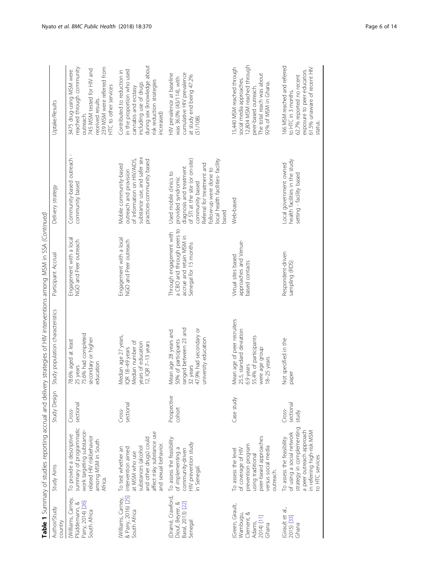|                                                                            |                                                                                                                                                                   |                              | CONSIDERATION IS NOT TO THE CLOSE OF THE RESERVED OF THE SAME CONSIDERATION OF THE CONSIDERATION CONSIDERATION OF THE PROPERTY OF THE CONSIDERATION OF THE CONSIDERATION OF THE CONSIDERATION OF THE CONSIDERATION OF THE CONS |                                                                                                            |                                                                                                                                                                                                                                    |                                                                                                                                                                                       |
|----------------------------------------------------------------------------|-------------------------------------------------------------------------------------------------------------------------------------------------------------------|------------------------------|--------------------------------------------------------------------------------------------------------------------------------------------------------------------------------------------------------------------------------|------------------------------------------------------------------------------------------------------------|------------------------------------------------------------------------------------------------------------------------------------------------------------------------------------------------------------------------------------|---------------------------------------------------------------------------------------------------------------------------------------------------------------------------------------|
| Author/Study<br>country                                                    | Study Aims                                                                                                                                                        | Study Design                 | Study population characteristics                                                                                                                                                                                               | Participant Accrual                                                                                        | Delivery strategy                                                                                                                                                                                                                  | Uptake/Results                                                                                                                                                                        |
| Williams, Carney<br>Parry, 2014) [26]<br>Plüddemann, &<br>South Africa     | summary of programmatic<br>work targeting substance-<br>To provide a descriptive<br>related HIV riskbehavior<br>among MSM in South<br>Africa.                     | sectional<br>Cross-          | 75.6% had completed<br>secondary or higher<br>78.6% aged at least<br>education<br>25 years                                                                                                                                     | Engagement with a local<br>NGO and Peer outreach                                                           | Community-based outreach<br>community based                                                                                                                                                                                        | reached through community<br>239 MSM were referred from<br>745 MSM tested for HIV and<br>3475 drug-using MSM were<br>HTC to other services<br>received results.<br>outreach.          |
| & Parry, 2016) [25]<br>Williams, Carney,<br>South Africa                   | affect risky substance use<br>and other drugs) could<br>and sexual behavior.<br>substances (alcohol<br>To test whether an<br>intervention aimed<br>at MSM who use | sectional<br>Cross-          | Median age 27 years,<br>Median number of<br>12, IQR 7-13 years<br>years of education<br>QR 18-49 years                                                                                                                         | Engagement with a local<br>NGO and Peer outreach                                                           | substance use, and safer sex<br>of information on HIV/AIDS,<br>practices-community based<br>Mobile community-based<br>outreach and provision                                                                                       | during sex (knowledge about<br>in the proportion who used<br>Contributed to reduction in<br>risk reduction strategies<br>including use of drugs<br>cannabis and ecstasy<br>increased) |
| Dramé, Crawford,<br>Baral, 2013) [22]<br>Diouf, Beyrer, &<br>Senegal       | To assess the feasibility<br>HIV prevention study<br>of implementing a<br>community-driven<br>in Senegal.                                                         | Prospective<br>cohort        | ranged between 23 and<br>47.9% had secondary or<br>Mean age 28 years and<br>university education<br>50% of participants<br>32 years                                                                                            | a CBO and through peers to<br>Through engagement with<br>accrue and retain MSM in<br>Senegal for 15 months | of STI at the site (or on-site)<br>local health facilities-facility<br>Referral for treatment and<br>diagnosis and treatment<br>follow-up were done to<br>Used mobile clinics to<br>provided syndromic<br>community based<br>based | cumulative HIV prevalence<br>HIV prevalence at baseline<br>at study end being 47.2%<br>was 36.0% (43/114), with<br>$(51/108)$ .                                                       |
| Green, Girault,<br>Clement, &<br>Wambugu,<br>2014) [11]<br>Adams,<br>Ghana | peer-based approaches<br>prevention program<br>versus social media<br>of coverage of HIV<br>To assess the level<br>using traditional<br>outreach.                 | Case study                   | Mean age of peer recruiters<br>25.5, standard deviation<br>55.4% of participants<br>were age group<br>18-25 years<br>6.9 years                                                                                                 | approaches and Venue-<br>Virtual sites based<br>based contacts                                             | Web-based                                                                                                                                                                                                                          | 12,804 MSM reached through<br>15,440 MSM reached through<br>The total reach was about<br>social media approaches.<br>92% of MSM in Ghana.<br>peer-based outreach.                     |
| Girault et al.,<br>2015) [33]<br>Ghana                                     | strategy in complementing<br>a peer outreach approach<br>in referring high-risk MSM<br>of using a social network<br>To assess the feasibility<br>to HTC services  | sectional<br>Cross-<br>study | Not specified in the<br>paper                                                                                                                                                                                                  | Respondent-driven<br>sampling (RDS)                                                                        | health facilities in the study<br>Local government owned<br>setting - facility based                                                                                                                                               | 166 MSM reached and referred<br>61.5% unaware of recent HIV<br>exposure to peer educators.<br>62.7% reported no recent<br>to HTC in 3 months.<br>status.                              |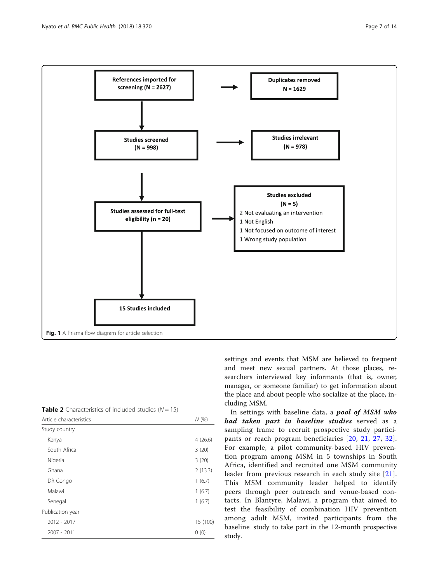<span id="page-6-0"></span>

**Table 2** Characteristics of included studies ( $N = 15$ )

| Article characteristics | N(%      |
|-------------------------|----------|
| Study country           |          |
| Kenya                   | 4(26.6)  |
| South Africa            | 3(20)    |
| Nigeria                 | 3(20)    |
| Ghana                   | 2(13.3)  |
| DR Congo                | 1(6.7)   |
| Malawi                  | 1(6.7)   |
| Senegal                 | 1(6.7)   |
| Publication year        |          |
| $2012 - 2017$           | 15 (100) |
| 2007 - 2011             | 0(0)     |
|                         |          |

settings and events that MSM are believed to frequent and meet new sexual partners. At those places, researchers interviewed key informants (that is, owner, manager, or someone familiar) to get information about the place and about people who socialize at the place, including MSM.

In settings with baseline data, a *pool of MSM who* had taken part in baseline studies served as a sampling frame to recruit prospective study participants or reach program beneficiaries [[20](#page-12-0), [21,](#page-12-0) [27](#page-12-0), [32](#page-12-0)]. For example, a pilot community-based HIV prevention program among MSM in 5 townships in South Africa, identified and recruited one MSM community leader from previous research in each study site [[21](#page-12-0)]. This MSM community leader helped to identify peers through peer outreach and venue-based contacts. In Blantyre, Malawi, a program that aimed to test the feasibility of combination HIV prevention among adult MSM, invited participants from the baseline study to take part in the 12-month prospective study.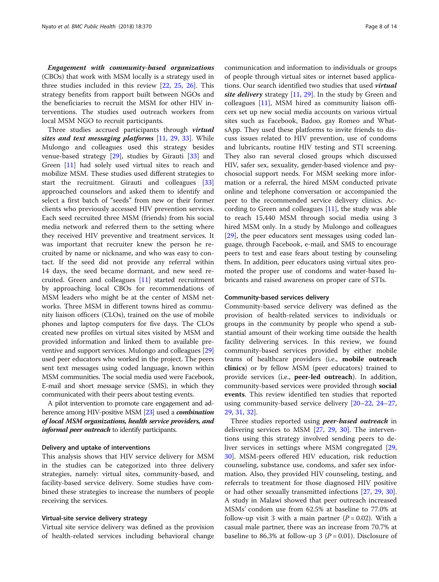Engagement with community-based organizations (CBOs) that work with MSM locally is a strategy used in three studies included in this review [\[22,](#page-12-0) [25](#page-12-0), [26\]](#page-12-0). This strategy benefits from rapport built between NGOs and the beneficiaries to recruit the MSM for other HIV interventions. The studies used outreach workers from local MSM NGO to recruit participants.

Three studies accrued participants through virtual sites and text messaging platforms [\[11](#page-12-0), [29](#page-12-0), [33\]](#page-12-0). While Mulongo and colleagues used this strategy besides venue-based strategy [\[29](#page-12-0)], studies by Girauti [\[33](#page-12-0)] and Green [\[11](#page-12-0)] had solely used virtual sites to reach and mobilize MSM. These studies used different strategies to start the recruitment. Girauti and colleagues [[33](#page-12-0)] approached counselors and asked them to identify and select a first batch of "seeds" from new or their former clients who previously accessed HIV prevention services. Each seed recruited three MSM (friends) from his social media network and referred them to the setting where they received HIV preventive and treatment services. It was important that recruiter knew the person he recruited by name or nickname, and who was easy to contact. If the seed did not provide any referral within 14 days, the seed became dormant, and new seed recruited. Green and colleagues [[11](#page-12-0)] started recruitment by approaching local CBOs for recommendations of MSM leaders who might be at the center of MSM networks. Three MSM in different towns hired as community liaison officers (CLOs), trained on the use of mobile phones and laptop computers for five days. The CLOs created new profiles on virtual sites visited by MSM and provided information and linked them to available preventive and support services. Mulongo and colleagues [[29](#page-12-0)] used peer educators who worked in the project. The peers sent text messages using coded language, known within MSM communities. The social media used were Facebook, E-mail and short message service (SMS), in which they communicated with their peers about testing events.

A pilot intervention to promote care engagement and ad-herence among HIV-positive MSM [\[23\]](#page-12-0) used a *combination* of local MSM organizations, health service providers, and informal peer outreach to identify participants.

#### Delivery and uptake of interventions

This analysis shows that HIV service delivery for MSM in the studies can be categorized into three delivery strategies, namely: virtual sites, community-based, and facility-based service delivery. Some studies have combined these strategies to increase the numbers of people receiving the services.

# Virtual-site service delivery strategy

Virtual site service delivery was defined as the provision of health-related services including behavioral change communication and information to individuals or groups of people through virtual sites or internet based applications. Our search identified two studies that used virtual site delivery strategy  $[11, 29]$  $[11, 29]$  $[11, 29]$  $[11, 29]$ . In the study by Green and colleagues [[11\]](#page-12-0), MSM hired as community liaison officers set up new social media accounts on various virtual sites such as Facebook, Badoo, gay Romeo and WhatsApp. They used these platforms to invite friends to discuss issues related to HIV prevention, use of condoms and lubricants, routine HIV testing and STI screening. They also ran several closed groups which discussed HIV, safer sex, sexuality, gender-based violence and psychosocial support needs. For MSM seeking more information or a referral, the hired MSM conducted private online and telephone conversation or accompanied the peer to the recommended service delivery clinics. According to Green and colleagues [[11](#page-12-0)], the study was able to reach 15,440 MSM through social media using 3 hired MSM only. In a study by Mulongo and colleagues [[29\]](#page-12-0), the peer educators sent messages using coded language, through Facebook, e-mail, and SMS to encourage peers to test and ease fears about testing by counseling them. In addition, peer educators using virtual sites promoted the proper use of condoms and water-based lubricants and raised awareness on proper care of STIs.

# Community-based services delivery

Community-based service delivery was defined as the provision of health-related services to individuals or groups in the community by people who spend a substantial amount of their working time outside the health facility delivering services. In this review, we found community-based services provided by either mobile teams of healthcare providers (i.e., mobile outreach clinics) or by fellow MSM (peer educators) trained to provide services (i.e., peer-led outreach). In addition, community-based services were provided through social events. This review identified ten studies that reported using community-based service delivery [\[20](#page-12-0)–[22,](#page-12-0) [24](#page-12-0)–[27](#page-12-0), [29,](#page-12-0) [31](#page-12-0), [32](#page-12-0)].

Three studies reported using *peer-based outreach* in delivering services to MSM [[27](#page-12-0), [29,](#page-12-0) [30](#page-12-0)]. The interventions using this strategy involved sending peers to deliver services in settings where MSM congregated [[29](#page-12-0), [30\]](#page-12-0). MSM-peers offered HIV education, risk reduction counseling, substance use, condoms, and safer sex information. Also, they provided HIV counseling, testing, and referrals to treatment for those diagnosed HIV positive or had other sexually transmitted infections [[27,](#page-12-0) [29,](#page-12-0) [30](#page-12-0)]. A study in Malawi showed that peer outreach increased MSMs' condom use from 62.5% at baseline to 77.0% at follow-up visit 3 with a main partner  $(P = 0.02)$ . With a casual male partner, there was an increase from 70.7% at baseline to 86.3% at follow-up 3 ( $P = 0.01$ ). Disclosure of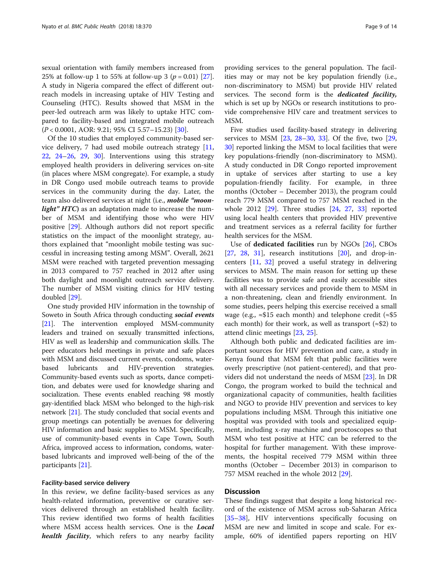sexual orientation with family members increased from 25% at follow-up 1 to 55% at follow-up 3 ( $p = 0.01$ ) [\[27](#page-12-0)]. A study in Nigeria compared the effect of different outreach models in increasing uptake of HIV Testing and Counseling (HTC). Results showed that MSM in the peer-led outreach arm was likely to uptake HTC compared to facility-based and integrated mobile outreach (P < 0.0001, AOR: 9.21; 95% CI 5.57–15.23) [\[30](#page-12-0)].

Of the 10 studies that employed community-based service delivery, 7 had used mobile outreach strategy [[11](#page-12-0), [22,](#page-12-0) [24](#page-12-0)–[26,](#page-12-0) [29,](#page-12-0) [30](#page-12-0)]. Interventions using this strategy employed health providers in delivering services on-site (in places where MSM congregate). For example, a study in DR Congo used mobile outreach teams to provide services in the community during the day. Later, the team also delivered services at night (i.e., mobile "moon $light<sup>n</sup> HTC$ ) as an adaptation made to increase the number of MSM and identifying those who were HIV positive [[29\]](#page-12-0). Although authors did not report specific statistics on the impact of the moonlight strategy, authors explained that "moonlight mobile testing was successful in increasing testing among MSM". Overall, 2621 MSM were reached with targeted prevention messaging in 2013 compared to 757 reached in 2012 after using both daylight and moonlight outreach service delivery. The number of MSM visiting clinics for HIV testing doubled [[29\]](#page-12-0).

One study provided HIV information in the township of Soweto in South Africa through conducting social events [[21](#page-12-0)]. The intervention employed MSM-community leaders and trained on sexually transmitted infections, HIV as well as leadership and communication skills. The peer educators held meetings in private and safe places with MSM and discussed current events, condoms, waterbased lubricants and HIV-prevention strategies. Community-based events such as sports, dance competition, and debates were used for knowledge sharing and socialization. These events enabled reaching 98 mostly gay-identified black MSM who belonged to the high-risk network [\[21\]](#page-12-0). The study concluded that social events and group meetings can potentially be avenues for delivering HIV information and basic supplies to MSM. Specifically, use of community-based events in Cape Town, South Africa, improved access to information, condoms, waterbased lubricants and improved well-being of the of the participants [\[21](#page-12-0)].

#### Facility-based service delivery

In this review, we define facility-based services as any health-related information, preventive or curative services delivered through an established health facility. This review identified two forms of health facilities where MSM access health services. One is the **Local health facility**, which refers to any nearby facility

providing services to the general population. The facilities may or may not be key population friendly (i.e., non-discriminatory to MSM) but provide HIV related services. The second form is the *dedicated facility*, which is set up by NGOs or research institutions to provide comprehensive HIV care and treatment services to MSM.

Five studies used facility-based strategy in delivering services to MSM [[23,](#page-12-0) [28](#page-12-0)–[30,](#page-12-0) [33\]](#page-12-0). Of the five, two [[29](#page-12-0), [30\]](#page-12-0) reported linking the MSM to local facilities that were key populations-friendly (non-discriminatory to MSM). A study conducted in DR Congo reported improvement in uptake of services after starting to use a key population-friendly facility. For example, in three months (October – December 2013), the program could reach 779 MSM compared to 757 MSM reached in the whole 2012 [[29\]](#page-12-0). Three studies [\[24](#page-12-0), [27,](#page-12-0) [33](#page-12-0)] reported using local health centers that provided HIV preventive and treatment services as a referral facility for further health services for the MSM.

Use of dedicated facilities run by NGOs [\[26](#page-12-0)], CBOs  $[27, 28, 31]$  $[27, 28, 31]$  $[27, 28, 31]$  $[27, 28, 31]$  $[27, 28, 31]$  $[27, 28, 31]$  $[27, 28, 31]$ , research institutions  $[20]$  $[20]$  $[20]$ , and drop-incenters [\[11,](#page-12-0) [32\]](#page-12-0) proved a useful strategy in delivering services to MSM. The main reason for setting up these facilities was to provide safe and easily accessible sites with all necessary services and provide them to MSM in a non-threatening, clean and friendly environment. In some studies, peers helping this exercise received a small wage (e.g.,  $\approx$ \$15 each month) and telephone credit ( $\approx$ \$5 each month) for their work, as well as transport ( $\approx$ \$2) to attend clinic meetings [\[23,](#page-12-0) [25\]](#page-12-0).

Although both public and dedicated facilities are important sources for HIV prevention and care, a study in Kenya found that MSM felt that public facilities were overly prescriptive (not patient-centered), and that providers did not understand the needs of MSM [[23](#page-12-0)]. In DR Congo, the program worked to build the technical and organizational capacity of communities, health facilities and NGO to provide HIV prevention and services to key populations including MSM. Through this initiative one hospital was provided with tools and specialized equipment, including x-ray machine and proctoscopes so that MSM who test positive at HTC can be referred to the hospital for further management. With these improvements, the hospital received 779 MSM within three months (October – December 2013) in comparison to 757 MSM reached in the whole 2012 [[29\]](#page-12-0).

#### **Discussion**

These findings suggest that despite a long historical record of the existence of MSM across sub-Saharan Africa [[35](#page-12-0)–[38](#page-12-0)], HIV interventions specifically focusing on MSM are new and limited in scope and scale. For example, 60% of identified papers reporting on HIV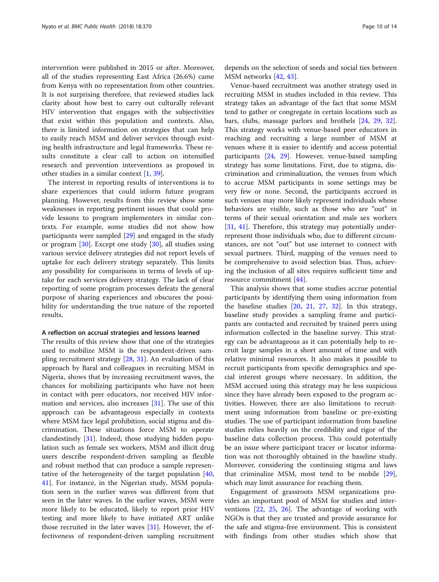intervention were published in 2015 or after. Moreover, all of the studies representing East Africa (26.6%) came from Kenya with no representation from other countries. It is not surprising therefore, that reviewed studies lack clarity about how best to carry out culturally relevant HIV intervention that engages with the subjectivities that exist within this population and contexts. Also, there is limited information on strategies that can help to easily reach MSM and deliver services through existing health infrastructure and legal frameworks. These results constitute a clear call to action on intensified research and prevention interventions as proposed in other studies in a similar context [\[1,](#page-12-0) [39\]](#page-12-0).

The interest in reporting results of interventions is to share experiences that could inform future program planning. However, results from this review show some weaknesses in reporting pertinent issues that could provide lessons to program implementers in similar contexts. For example, some studies did not show how participants were sampled [[29](#page-12-0)] and engaged in the study or program [\[30](#page-12-0)]. Except one study [[30\]](#page-12-0), all studies using various service delivery strategies did not report levels of uptake for each delivery strategy separately. This limits any possibility for comparisons in terms of levels of uptake for each services delivery strategy. The lack of clear reporting of some program processes defeats the general purpose of sharing experiences and obscures the possibility for understanding the true nature of the reported results.

#### A reflection on accrual strategies and lessons learned

The results of this review show that one of the strategies used to mobilize MSM is the respondent-driven sampling recruitment strategy [\[28](#page-12-0), [31](#page-12-0)]. An evaluation of this approach by Baral and colleagues in recruiting MSM in Nigeria, shows that by increasing recruitment waves, the chances for mobilizing participants who have not been in contact with peer educators, nor received HIV information and services, also increases [[31](#page-12-0)]. The use of this approach can be advantageous especially in contexts where MSM face legal prohibition, social stigma and discrimination. These situations force MSM to operate clandestinely [[31](#page-12-0)]. Indeed, those studying hidden population such as female sex workers, MSM and illicit drug users describe respondent-driven sampling as flexible and robust method that can produce a sample representative of the heterogeneity of the target population [[40](#page-12-0), [41\]](#page-12-0). For instance, in the Nigerian study, MSM population seen in the earlier waves was different from that seen in the later waves. In the earlier waves, MSM were more likely to be educated, likely to report prior HIV testing and more likely to have initiated ART unlike those recruited in the later waves [[31\]](#page-12-0). However, the effectiveness of respondent-driven sampling recruitment

depends on the selection of seeds and social ties between MSM networks [\[42](#page-12-0), [43](#page-12-0)].

Venue-based recruitment was another strategy used in recruiting MSM in studies included in this review. This strategy takes an advantage of the fact that some MSM tend to gather or congregate in certain locations such as bars, clubs, massage parlors and brothels [[24,](#page-12-0) [29](#page-12-0), [32](#page-12-0)]. This strategy works with venue-based peer educators in reaching and recruiting a large number of MSM at venues where it is easier to identify and access potential participants [[24,](#page-12-0) [29\]](#page-12-0). However, venue-based sampling strategy has some limitations. First, due to stigma, discrimination and criminalization, the venues from which to accrue MSM participants in some settings may be very few or none. Second, the participants accrued in such venues may more likely represent individuals whose behaviors are visible, such as those who are "out" in terms of their sexual orientation and male sex workers [[31,](#page-12-0) [41\]](#page-12-0). Therefore, this strategy may potentially underrepresent those individuals who, due to different circumstances, are not "out" but use internet to connect with sexual partners. Third, mapping of the venues need to be comprehensive to avoid selection bias. Thus, achieving the inclusion of all sites requires sufficient time and resource commitment [\[44](#page-12-0)].

This analysis shows that some studies accrue potential participants by identifying them using information from the baseline studies [[20,](#page-12-0) [21](#page-12-0), [27](#page-12-0), [32\]](#page-12-0). In this strategy, baseline study provides a sampling frame and participants are contacted and recruited by trained peers using information collected in the baseline survey. This strategy can be advantageous as it can potentially help to recruit large samples in a short amount of time and with relative minimal resources. It also makes it possible to recruit participants from specific demographics and special interest groups where necessary. In addition, the MSM accrued using this strategy may be less suspicious since they have already been exposed to the program activities. However, there are also limitations to recruitment using information from baseline or pre-existing studies. The use of participant information from baseline studies relies heavily on the credibility and rigor of the baseline data collection process. This could potentially be an issue where participant tracer or locator information was not thoroughly obtained in the baseline study. Moreover, considering the continuing stigma and laws that criminalize MSM, most tend to be mobile [\[29](#page-12-0)], which may limit assurance for reaching them.

Engagement of grassroots MSM organizations provides an important pool of MSM for studies and interventions [\[22](#page-12-0), [25](#page-12-0), [26\]](#page-12-0). The advantage of working with NGOs is that they are trusted and provide assurance for the safe and stigma-free environment. This is consistent with findings from other studies which show that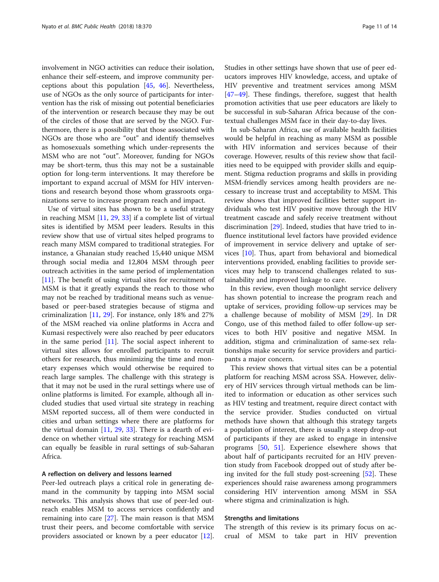involvement in NGO activities can reduce their isolation, enhance their self-esteem, and improve community perceptions about this population [\[45,](#page-12-0) [46](#page-12-0)]. Nevertheless, use of NGOs as the only source of participants for intervention has the risk of missing out potential beneficiaries of the intervention or research because they may be out of the circles of those that are served by the NGO. Furthermore, there is a possibility that those associated with NGOs are those who are "out" and identify themselves as homosexuals something which under-represents the MSM who are not "out". Moreover, funding for NGOs may be short-term, thus this may not be a sustainable option for long-term interventions. It may therefore be important to expand accrual of MSM for HIV interventions and research beyond those whom grassroots organizations serve to increase program reach and impact.

Use of virtual sites has shown to be a useful strategy in reaching MSM [\[11](#page-12-0), [29](#page-12-0), [33](#page-12-0)] if a complete list of virtual sites is identified by MSM peer leaders. Results in this review show that use of virtual sites helped programs to reach many MSM compared to traditional strategies. For instance, a Ghanaian study reached 15,440 unique MSM through social media and 12,804 MSM through peer outreach activities in the same period of implementation [[11\]](#page-12-0). The benefit of using virtual sites for recruitment of MSM is that it greatly expands the reach to those who may not be reached by traditional means such as venuebased or peer-based strategies because of stigma and criminalization [[11](#page-12-0), [29\]](#page-12-0). For instance, only 18% and 27% of the MSM reached via online platforms in Accra and Kumasi respectively were also reached by peer educators in the same period  $[11]$  $[11]$ . The social aspect inherent to virtual sites allows for enrolled participants to recruit others for research, thus minimizing the time and monetary expenses which would otherwise be required to reach large samples. The challenge with this strategy is that it may not be used in the rural settings where use of online platforms is limited. For example, although all included studies that used virtual site strategy in reaching MSM reported success, all of them were conducted in cities and urban settings where there are platforms for the virtual domain [\[11,](#page-12-0) [29](#page-12-0), [33\]](#page-12-0). There is a dearth of evidence on whether virtual site strategy for reaching MSM can equally be feasible in rural settings of sub-Saharan Africa.

# A reflection on delivery and lessons learned

Peer-led outreach plays a critical role in generating demand in the community by tapping into MSM social networks. This analysis shows that use of peer-led outreach enables MSM to access services confidently and remaining into care [[27\]](#page-12-0). The main reason is that MSM trust their peers, and become comfortable with service providers associated or known by a peer educator [\[12](#page-12-0)]. Studies in other settings have shown that use of peer educators improves HIV knowledge, access, and uptake of HIV preventive and treatment services among MSM [[47](#page-12-0)–[49](#page-12-0)]. These findings, therefore, suggest that health promotion activities that use peer educators are likely to be successful in sub-Saharan Africa because of the contextual challenges MSM face in their day-to-day lives.

In sub-Saharan Africa, use of available health facilities would be helpful in reaching as many MSM as possible with HIV information and services because of their coverage. However, results of this review show that facilities need to be equipped with provider skills and equipment. Stigma reduction programs and skills in providing MSM-friendly services among health providers are necessary to increase trust and acceptability to MSM. This review shows that improved facilities better support individuals who test HIV positive move through the HIV treatment cascade and safely receive treatment without discrimination [\[29\]](#page-12-0). Indeed, studies that have tried to influence institutional level factors have provided evidence of improvement in service delivery and uptake of services [[10\]](#page-12-0). Thus, apart from behavioral and biomedical interventions provided, enabling facilities to provide services may help to transcend challenges related to sustainability and improved linkage to care.

In this review, even though moonlight service delivery has shown potential to increase the program reach and uptake of services, providing follow-up services may be a challenge because of mobility of MSM [\[29](#page-12-0)]. In DR Congo, use of this method failed to offer follow-up services to both HIV positive and negative MSM. In addition, stigma and criminalization of same-sex relationships make security for service providers and participants a major concern.

This review shows that virtual sites can be a potential platform for reaching MSM across SSA. However, delivery of HIV services through virtual methods can be limited to information or education as other services such as HIV testing and treatment, require direct contact with the service provider. Studies conducted on virtual methods have shown that although this strategy targets a population of interest, there is usually a steep drop-out of participants if they are asked to engage in intensive programs [\[50](#page-13-0), [51\]](#page-13-0). Experience elsewhere shows that about half of participants recruited for an HIV prevention study from Facebook dropped out of study after being invited for the full study post-screening [\[52\]](#page-13-0). These experiences should raise awareness among programmers considering HIV intervention among MSM in SSA where stigma and criminalization is high.

# Strengths and limitations

The strength of this review is its primary focus on accrual of MSM to take part in HIV prevention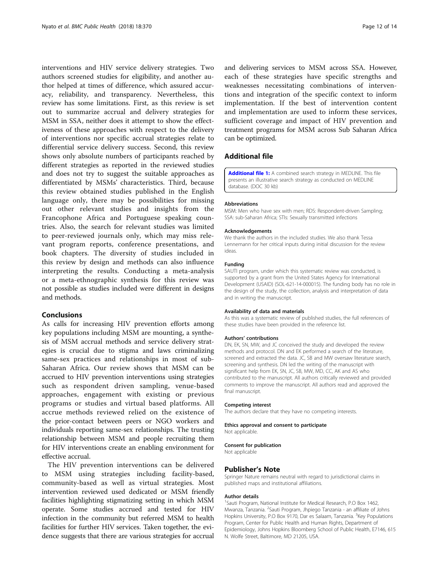<span id="page-11-0"></span>interventions and HIV service delivery strategies. Two authors screened studies for eligibility, and another author helped at times of difference, which assured accuracy, reliability, and transparency. Nevertheless, this review has some limitations. First, as this review is set out to summarize accrual and delivery strategies for MSM in SSA, neither does it attempt to show the effectiveness of these approaches with respect to the delivery of interventions nor specific accrual strategies relate to differential service delivery success. Second, this review shows only absolute numbers of participants reached by different strategies as reported in the reviewed studies and does not try to suggest the suitable approaches as differentiated by MSMs' characteristics. Third, because this review obtained studies published in the English language only, there may be possibilities for missing out other relevant studies and insights from the Francophone Africa and Portuguese speaking countries. Also, the search for relevant studies was limited to peer-reviewed journals only, which may miss relevant program reports, conference presentations, and book chapters. The diversity of studies included in this review by design and methods can also influence interpreting the results. Conducting a meta-analysis or a meta-ethnographic synthesis for this review was not possible as studies included were different in designs and methods.

# Conclusions

As calls for increasing HIV prevention efforts among key populations including MSM are mounting, a synthesis of MSM accrual methods and service delivery strategies is crucial due to stigma and laws criminalizing same-sex practices and relationships in most of sub-Saharan Africa. Our review shows that MSM can be accrued to HIV prevention interventions using strategies such as respondent driven sampling, venue-based approaches, engagement with existing or previous programs or studies and virtual based platforms. All accrue methods reviewed relied on the existence of the prior-contact between peers or NGO workers and individuals reporting same-sex relationships. The trusting relationship between MSM and people recruiting them for HIV interventions create an enabling environment for effective accrual.

The HIV prevention interventions can be delivered to MSM using strategies including facility-based, community-based as well as virtual strategies. Most intervention reviewed used dedicated or MSM friendly facilities highlighting stigmatizing setting in which MSM operate. Some studies accrued and tested for HIV infection in the community but referred MSM to health facilities for further HIV services. Taken together, the evidence suggests that there are various strategies for accrual and delivering services to MSM across SSA. However, each of these strategies have specific strengths and weaknesses necessitating combinations of interventions and integration of the specific context to inform implementation. If the best of intervention content and implementation are used to inform these services, sufficient coverage and impact of HIV prevention and treatment programs for MSM across Sub Saharan Africa can be optimized.

# Additional file

[Additional file 1:](https://doi.org/10.1186/s12889-018-5303-2) A combined search strategy in MEDLINE. This file presents an illustrative search strategy as conducted on MEDLINE database. (DOC 30 kb)

#### **Abbreviations**

MSM: Men who have sex with men; RDS: Respondent-driven Sampling; SSA: sub-Saharan Africa; STIs: Sexually transmitted infections

#### Acknowledgements

We thank the authors in the included studies. We also thank Tessa Lennemann for her critical inputs during initial discussion for the review ideas.

#### Funding

SAUTI program, under which this systematic review was conducted, is supported by a grant from the United States Agency for International Development (USAID) (SOL-621-14-000015). The funding body has no role in the design of the study, the collection, analysis and interpretation of data and in writing the manuscript.

#### Availability of data and materials

As this was a systematic review of published studies, the full references of these studies have been provided in the reference list.

#### Authors' contributions

DN, EK, SN, MW, and JC conceived the study and developed the review methods and protocol. DN and EK performed a search of the literature, screened and extracted the data. JC, SB and MW oversaw literature search, screening and synthesis. DN led the writing of the manuscript with significant help from EK, SN, JC, SB, MW, MD, CC, AK and AS who contributed to the manuscript. All authors critically reviewed and provided comments to improve the manuscript. All authors read and approved the final manuscript.

#### Competing interest

The authors declare that they have no competing interests.

#### Ethics approval and consent to participate

Not applicable.

#### Consent for publication

Not applicable

#### Publisher's Note

Springer Nature remains neutral with regard to jurisdictional claims in published maps and institutional affiliations.

#### Author details

<sup>1</sup> Sauti Program, National Institute for Medical Research, P.O Box 1462, Mwanza, Tanzania. <sup>2</sup>Sauti Program, Jhpiego Tanzania - an affiliate of Johns Hopkins University, P.O Box 9170, Dar es Salaam, Tanzania. <sup>3</sup>Key Populations Program, Center for Public Health and Human Rights, Department of Epidemiology, Johns Hopkins Bloomberg School of Public Health, E7146, 615 N. Wolfe Street, Baltimore, MD 21205, USA.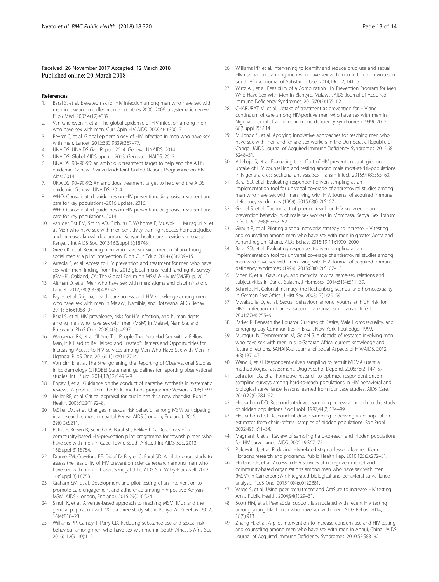### <span id="page-12-0"></span>Received: 26 November 2017 Accepted: 12 March 2018 Published online: 20 March 2018

#### References

- 1. Baral S, et al. Elevated risk for HIV infection among men who have sex with men in low-and middle-income countries 2000–2006: a systematic review. PLoS Med. 2007;4(12):e339.
- 2. Van Griensven F, et al. The global epidemic of HIV infection among men who have sex with men. Curr Opin HIV AIDS. 2009;4(4):300–7.
- 3. Beyrer C, et al. Global epidemiology of HIV infection in men who have sex with men. Lancet. 2012;380(9839):367–77.
- 4. UNAIDS. UNAIDS Gap Report 2014. Geneva: UNAIDS; 2014.
- 5. UNAIDS. Global AIDS update 2013. Geneva: UNAIDS; 2013.
- 6. UNAIDS. 90–90-90: an ambitious treatment target to help end the AIDS epidemic. Geneva, Switzerland: Joint United Nations Programme on HIV. Aids; 2014.
- 7. UNAIDS. 90–90-90: An ambitious treatment target to help end the AIDS epidemic. Geneva: UNAIDS; 2014.
- 8. WHO, Consolidated guidelines on HIV prevention, diagnosis, treatment and care for key populations–2016 update, 2016.
- 9. WHO, Consolidated guidelines on HIV prevention, diagnosis, treatment and care for key populations, 2014.
- 10. van der Elst EM, Smith AD, Gichuru E, Wahome E, Musyoki H, Muraguri N, et al. Men who have sex with men sensitivity training reduces homoprejudice and increases knowledge among Kenyan healthcare providers in coastal Kenya. J Int AIDS Soc. 2013;16(Suppl 3):18748.
- 11. Green K, et al. Reaching men who have sex with men in Ghana though social media: a pilot intervention. Digit Cult Educ. 2014;6(3):209–15.
- 12. Arreola S, et al. Access to HIV prevention and treatment for men who have sex with men: finding from the 2012 global mens health and rights survey (GMHR). Oakland, CA: The Global Forum on MSM & HIV (MSMGF). p. 2012.
- 13. Altman D, et al. Men who have sex with men: stigma and discrimination. Lancet. 2012;380(9839):439–45.
- 14. Fay H, et al. Stigma, health care access, and HIV knowledge among men who have sex with men in Malawi, Namibia, and Botswana. AIDS Behav. 2011;15(6):1088–97.
- 15. Baral S, et al. HIV prevalence, risks for HIV infection, and human rights among men who have sex with men (MSM) in Malawi, Namibia, and Botswana. PLoS One. 2009;4(3):e4997.
- 16. Wanyenze RK, et al. "If You Tell People That You Had Sex with a Fellow Man, It Is Hard to Be Helped and Treated": Barriers and Opportunities for Increasing Access to HIV Services among Men Who Have Sex with Men in Uganda. PLoS One. 2016;11(1):e0147714.
- 17. Von Elm E, et al. The Strengthening the Reporting of Observational Studies in Epidemiology (STROBE) Statement: guidelines for reporting observational studies. Int J Surg. 2014;12(12):1495–9.
- 18. Popay J, et al. Guidance on the conduct of narrative synthesis in systematic reviews. A product from the ESRC methods programme Version. 2006;1:b92.
- 19. Heller RF, et al. Critical appraisal for public health: a new checklist. Public Health. 2008;122(1):92–8.
- 20. Möller LM, et al. Changes in sexual risk behavior among MSM participating in a research cohort in coastal Kenya. AIDS (London, England). 2015; 29(0 3):S211.
- 21. Batist E, Brown B, Scheibe A, Baral SD, Bekker L-G. Outcomes of a community-based HIV-prevention pilot programme for township men who have sex with men in Cape Town, South Africa. J Int AIDS Soc. 2013; 16(Suppl 3):18754.
- 22. Dramé FM, Crawford EE, Diouf D, Beyrer C, Baral SD. A pilot cohort study to assess the feasibility of HIV prevention science research among men who have sex with men in Dakar, Senegal. J Int AIDS Soc Wiley-Blackwell. 2013; 16(Suppl 3):18753.
- 23. Graham SM, et al. Development and pilot testing of an intervention to promote care engagement and adherence among HIV-positive Kenyan MSM. AIDS (London, England). 2015;29(0 3):S241.
- 24. Singh K, et al. A venue-based approach to reaching MSM, IDUs and the general population with VCT: a three study site in Kenya. AIDS Behav. 2012; 16(4):818–28.
- 25. Williams PP, Carney T, Parry CD. Reducing substance use and sexual risk behaviour among men who have sex with men in South Africa. S Afr J Sci. 2016;112(9–10):1–5.
- 26. Williams PP, et al. Intervening to identify and reduce drug use and sexual HIV risk patterns among men who have sex with men in three provinces in South Africa. Journal of Substance Use. 2014;19(1–2):141–6.
- 27. Wirtz AL, et al. Feasibility of a Combination HIV Prevention Program for Men Who Have Sex With Men in Blantyre, Malawi. JAIDS Journal of Acquired Immune Deficiency Syndromes. 2015;70(2):155–62.
- CHARURAT M, et al. Uptake of treatment as prevention for HIV and continuum of care among HIV-positive men who have sex with men in Nigeria. Journal of acquired immune deficiency syndromes (1999). 2015; 68(Suppl 2):S114.
- 29. Mulongo S, et al. Applying innovative approaches for reaching men who have sex with men and female sex workers in the Democratic Republic of Congo. JAIDS Journal of Acquired Immune Deficiency Syndromes. 2015;68: S248–51.
- 30. Adebajo S, et al. Evaluating the effect of HIV prevention strategies on uptake of HIV counselling and testing among male most-at-risk-populations in Nigeria; a cross-sectional analysis. Sex Transm Infect. 2015;91(8):555–60.
- 31. Baral SD, et al. Evaluating respondent-driven sampling as an implementation tool for universal coverage of antiretroviral studies among men who have sex with men living with HIV. Journal of acquired immune deficiency syndromes (1999). 2015;68(0 2):S107.
- 32. Geibel S, et al. The impact of peer outreach on HIV knowledge and prevention behaviours of male sex workers in Mombasa, Kenya. Sex Transm Infect. 2012;88(5):357–62.
- 33. Girault P, et al. Piloting a social networks strategy to increase HIV testing and counseling among men who have sex with men in greater Accra and Ashanti region, Ghana. AIDS Behav. 2015;19(11):1990–2000.
- 34. Baral SD, et al. Evaluating respondent-driven sampling as an implementation tool for universal coverage of antiretroviral studies among men who have sex with men living with HIV. Journal of acquired immune deficiency syndromes (1999). 2015;68(0 2):S107–13.
- 35. Moen K, et al. Gays, guys, and mchicha mwiba: same-sex relations and subjectivities in Dar es Salaam. J Homosex. 2014;61(4):511–39.
- 36. Schmidt HI. Colonial intimacy: the Rechenberg scandal and homosexuality in German East Africa. J Hist Sex. 2008;17(1):25–59.
- 37. Mwakagile D, et al. Sexual behaviour among youths at high risk for HIV-1 infection in Dar es Salaam, Tanzania. Sex Transm Infect. 2001;77(4):255–9.
- 38. Parker R. Beneath the Equator: Cultures of Desire, Male Homosexuality, and Emerging Gay Communities in Brazil. New York: Routledge; 1999.
- 39. Muraguri N, Temmerman M, Geibel S. A decade of research involving men who have sex with men in sub-Saharan Africa: current knowledge and future directions. SAHARA-J: Journal of Social Aspects of HIV/AIDS. 2012; 9(3):137–47.
- 40. Wang J, et al. Respondent-driven sampling to recruit MDMA users: a methodological assessment. Drug Alcohol Depend. 2005;78(2):147–57.
- 41. Johnston LG, et al. Formative research to optimize respondent-driven sampling surveys among hard-to-reach populations in HIV behavioral and biological surveillance: lessons learned from four case studies. AIDS Care. 2010;22(6):784–92.
- 42. Heckathorn DD. Respondent-driven sampling: a new approach to the study of hidden populations. Soc Probl. 1997;44(2):174–99.
- 43. Heckathorn DD. Respondent-driven sampling II: deriving valid population estimates from chain-referral samples of hidden populations. Soc Probl. 2002;49(1):11–34.
- 44. Magnani R, et al. Review of sampling hard-to-reach and hidden populations for HIV surveillance. AIDS. 2005;19:S67–72.
- 45. Pulerwitz J, et al. Reducing HIV-related stigma: lessons learned from Horizons research and programs. Public Health Rep. 2010;125(2):272–81.
- 46. Holland CE, et al. Access to HIV services at non-governmental and community-based organizations among men who have sex with men (MSM) in Cameroon: An integrated biological and behavioral surveillance analysis. PLoS One. 2015;10(4):e0122881.
- 47. Vargo S, et al. Using peer recruitment and OraSure to increase HIV testing. Am J Public Health. 2004;94(1):29–31.
- 48. Scott HM, et al. Peer social support is associated with recent HIV testing among young black men who have sex with men. AIDS Behav. 2014; 18(5):913.
- 49. Zhang H, et al. A pilot intervention to increase condom use and HIV testing and counseling among men who have sex with men in Anhui, China. JAIDS Journal of Acquired Immune Deficiency Syndromes. 2010;53:S88–92.